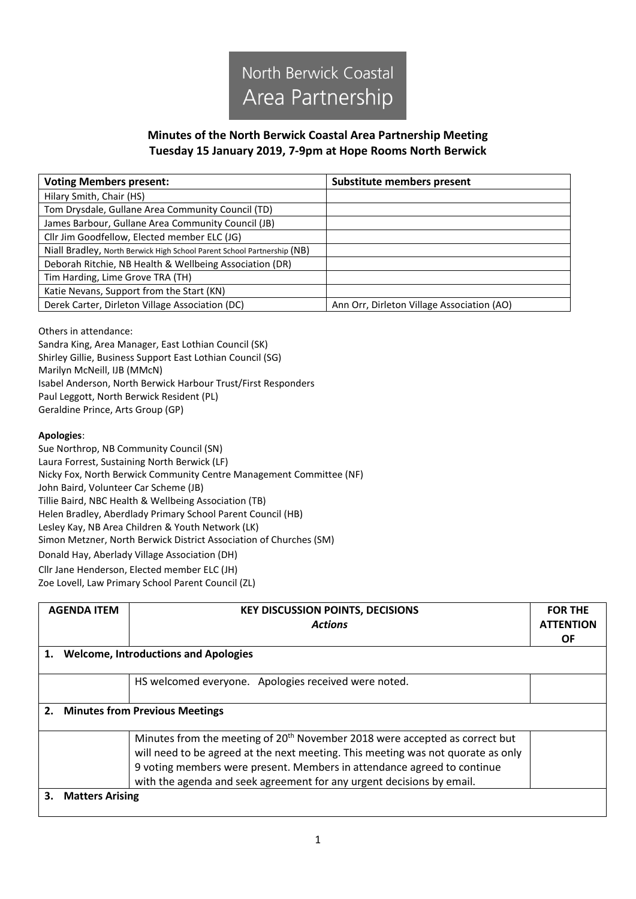

## **Minutes of the North Berwick Coastal Area Partnership Meeting Tuesday 15 January 2019, 7-9pm at Hope Rooms North Berwick**

| <b>Voting Members present:</b>                                          | Substitute members present                 |  |
|-------------------------------------------------------------------------|--------------------------------------------|--|
| Hilary Smith, Chair (HS)                                                |                                            |  |
| Tom Drysdale, Gullane Area Community Council (TD)                       |                                            |  |
| James Barbour, Gullane Area Community Council (JB)                      |                                            |  |
| Cllr Jim Goodfellow, Elected member ELC (JG)                            |                                            |  |
| Niall Bradley, North Berwick High School Parent School Partnership (NB) |                                            |  |
| Deborah Ritchie, NB Health & Wellbeing Association (DR)                 |                                            |  |
| Tim Harding, Lime Grove TRA (TH)                                        |                                            |  |
| Katie Nevans, Support from the Start (KN)                               |                                            |  |
| Derek Carter, Dirleton Village Association (DC)                         | Ann Orr, Dirleton Village Association (AO) |  |

Others in attendance:

Sandra King, Area Manager, East Lothian Council (SK) Shirley Gillie, Business Support East Lothian Council (SG) Marilyn McNeill, IJB (MMcN) Isabel Anderson, North Berwick Harbour Trust/First Responders Paul Leggott, North Berwick Resident (PL) Geraldine Prince, Arts Group (GP)

## **Apologies**:

Sue Northrop, NB Community Council (SN) Laura Forrest, Sustaining North Berwick (LF) Nicky Fox, North Berwick Community Centre Management Committee (NF) John Baird, Volunteer Car Scheme (JB) Tillie Baird, NBC Health & Wellbeing Association (TB) Helen Bradley, Aberdlady Primary School Parent Council (HB) Lesley Kay, NB Area Children & Youth Network (LK) Simon Metzner, North Berwick District Association of Churches (SM) Donald Hay, Aberlady Village Association (DH) Cllr Jane Henderson, Elected member ELC (JH)

Zoe Lovell, Law Primary School Parent Council (ZL)

| <b>AGENDA ITEM</b>                                | <b>KEY DISCUSSION POINTS, DECISIONS</b><br><b>Actions</b>                                                                                                                                                                                                                                                                       | <b>FOR THE</b><br><b>ATTENTION</b><br><b>OF</b> |
|---------------------------------------------------|---------------------------------------------------------------------------------------------------------------------------------------------------------------------------------------------------------------------------------------------------------------------------------------------------------------------------------|-------------------------------------------------|
| <b>Welcome, Introductions and Apologies</b><br>1. |                                                                                                                                                                                                                                                                                                                                 |                                                 |
|                                                   | HS welcomed everyone. Apologies received were noted.                                                                                                                                                                                                                                                                            |                                                 |
|                                                   | 2. Minutes from Previous Meetings                                                                                                                                                                                                                                                                                               |                                                 |
|                                                   | Minutes from the meeting of 20 <sup>th</sup> November 2018 were accepted as correct but<br>will need to be agreed at the next meeting. This meeting was not quorate as only<br>9 voting members were present. Members in attendance agreed to continue<br>with the agenda and seek agreement for any urgent decisions by email. |                                                 |
| <b>Matters Arising</b>                            |                                                                                                                                                                                                                                                                                                                                 |                                                 |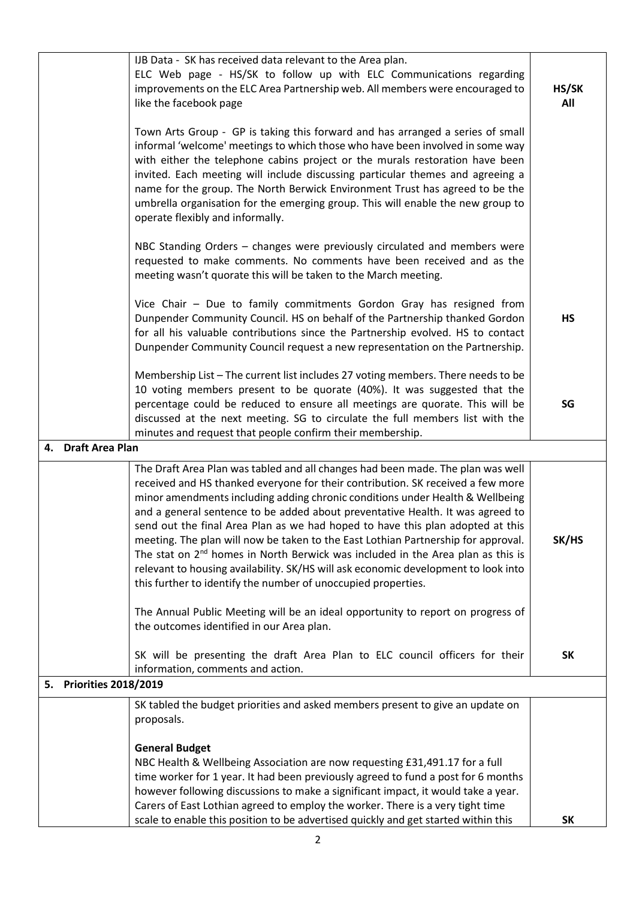|                                   | IJB Data - SK has received data relevant to the Area plan.<br>ELC Web page - HS/SK to follow up with ELC Communications regarding<br>improvements on the ELC Area Partnership web. All members were encouraged to<br>like the facebook page                                                                                                                                                                                                                                                                                                                                                                                                                                                                                                                                                                                                           | HS/SK<br>All |
|-----------------------------------|-------------------------------------------------------------------------------------------------------------------------------------------------------------------------------------------------------------------------------------------------------------------------------------------------------------------------------------------------------------------------------------------------------------------------------------------------------------------------------------------------------------------------------------------------------------------------------------------------------------------------------------------------------------------------------------------------------------------------------------------------------------------------------------------------------------------------------------------------------|--------------|
|                                   | Town Arts Group - GP is taking this forward and has arranged a series of small<br>informal 'welcome' meetings to which those who have been involved in some way<br>with either the telephone cabins project or the murals restoration have been<br>invited. Each meeting will include discussing particular themes and agreeing a<br>name for the group. The North Berwick Environment Trust has agreed to be the<br>umbrella organisation for the emerging group. This will enable the new group to<br>operate flexibly and informally.                                                                                                                                                                                                                                                                                                              |              |
|                                   | NBC Standing Orders - changes were previously circulated and members were<br>requested to make comments. No comments have been received and as the<br>meeting wasn't quorate this will be taken to the March meeting.                                                                                                                                                                                                                                                                                                                                                                                                                                                                                                                                                                                                                                 |              |
|                                   | Vice Chair - Due to family commitments Gordon Gray has resigned from<br>Dunpender Community Council. HS on behalf of the Partnership thanked Gordon<br>for all his valuable contributions since the Partnership evolved. HS to contact<br>Dunpender Community Council request a new representation on the Partnership.                                                                                                                                                                                                                                                                                                                                                                                                                                                                                                                                | <b>HS</b>    |
|                                   | Membership List - The current list includes 27 voting members. There needs to be<br>10 voting members present to be quorate (40%). It was suggested that the<br>percentage could be reduced to ensure all meetings are quorate. This will be<br>discussed at the next meeting. SG to circulate the full members list with the<br>minutes and request that people confirm their membership.                                                                                                                                                                                                                                                                                                                                                                                                                                                            | SG           |
| 4. Draft Area Plan                |                                                                                                                                                                                                                                                                                                                                                                                                                                                                                                                                                                                                                                                                                                                                                                                                                                                       |              |
|                                   | The Draft Area Plan was tabled and all changes had been made. The plan was well<br>received and HS thanked everyone for their contribution. SK received a few more<br>minor amendments including adding chronic conditions under Health & Wellbeing<br>and a general sentence to be added about preventative Health. It was agreed to<br>send out the final Area Plan as we had hoped to have this plan adopted at this<br>meeting. The plan will now be taken to the East Lothian Partnership for approval.<br>The stat on 2 <sup>nd</sup> homes in North Berwick was included in the Area plan as this is<br>relevant to housing availability. SK/HS will ask economic development to look into<br>this further to identify the number of unoccupied properties.<br>The Annual Public Meeting will be an ideal opportunity to report on progress of | SK/HS        |
|                                   | the outcomes identified in our Area plan.<br>SK will be presenting the draft Area Plan to ELC council officers for their                                                                                                                                                                                                                                                                                                                                                                                                                                                                                                                                                                                                                                                                                                                              | <b>SK</b>    |
| <b>Priorities 2018/2019</b><br>5. | information, comments and action.                                                                                                                                                                                                                                                                                                                                                                                                                                                                                                                                                                                                                                                                                                                                                                                                                     |              |
|                                   | SK tabled the budget priorities and asked members present to give an update on                                                                                                                                                                                                                                                                                                                                                                                                                                                                                                                                                                                                                                                                                                                                                                        |              |
|                                   | proposals.<br><b>General Budget</b><br>NBC Health & Wellbeing Association are now requesting £31,491.17 for a full<br>time worker for 1 year. It had been previously agreed to fund a post for 6 months<br>however following discussions to make a significant impact, it would take a year.<br>Carers of East Lothian agreed to employ the worker. There is a very tight time                                                                                                                                                                                                                                                                                                                                                                                                                                                                        | <b>SK</b>    |
|                                   | scale to enable this position to be advertised quickly and get started within this                                                                                                                                                                                                                                                                                                                                                                                                                                                                                                                                                                                                                                                                                                                                                                    |              |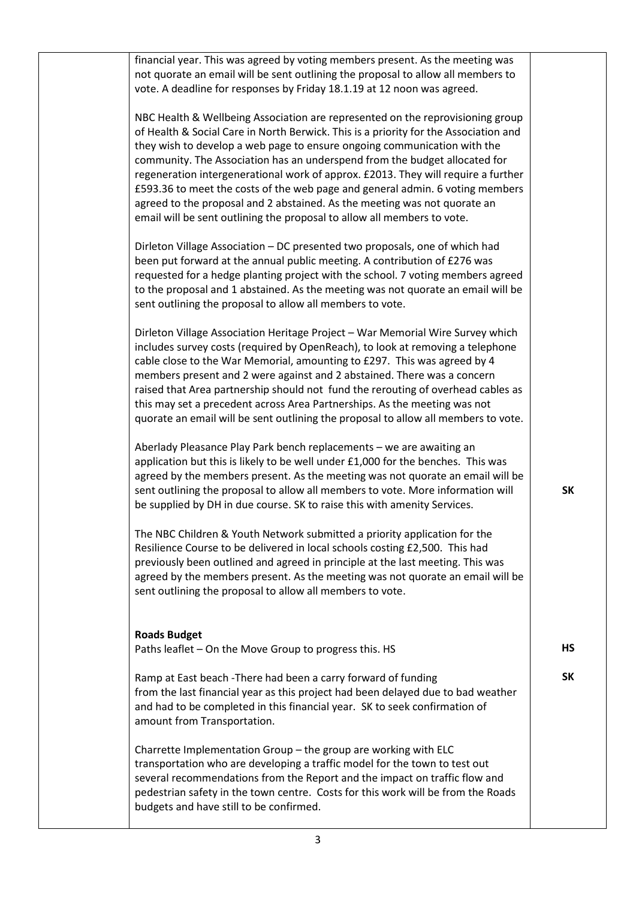| financial year. This was agreed by voting members present. As the meeting was<br>not quorate an email will be sent outlining the proposal to allow all members to<br>vote. A deadline for responses by Friday 18.1.19 at 12 noon was agreed.                                                                                                                                                                                                                                                                                                                                                                                                                   |           |
|----------------------------------------------------------------------------------------------------------------------------------------------------------------------------------------------------------------------------------------------------------------------------------------------------------------------------------------------------------------------------------------------------------------------------------------------------------------------------------------------------------------------------------------------------------------------------------------------------------------------------------------------------------------|-----------|
| NBC Health & Wellbeing Association are represented on the reprovisioning group<br>of Health & Social Care in North Berwick. This is a priority for the Association and<br>they wish to develop a web page to ensure ongoing communication with the<br>community. The Association has an underspend from the budget allocated for<br>regeneration intergenerational work of approx. £2013. They will require a further<br>£593.36 to meet the costs of the web page and general admin. 6 voting members<br>agreed to the proposal and 2 abstained. As the meeting was not quorate an<br>email will be sent outlining the proposal to allow all members to vote. |           |
| Dirleton Village Association - DC presented two proposals, one of which had<br>been put forward at the annual public meeting. A contribution of £276 was<br>requested for a hedge planting project with the school. 7 voting members agreed<br>to the proposal and 1 abstained. As the meeting was not quorate an email will be<br>sent outlining the proposal to allow all members to vote.                                                                                                                                                                                                                                                                   |           |
| Dirleton Village Association Heritage Project - War Memorial Wire Survey which<br>includes survey costs (required by OpenReach), to look at removing a telephone<br>cable close to the War Memorial, amounting to £297. This was agreed by 4<br>members present and 2 were against and 2 abstained. There was a concern<br>raised that Area partnership should not fund the rerouting of overhead cables as<br>this may set a precedent across Area Partnerships. As the meeting was not<br>quorate an email will be sent outlining the proposal to allow all members to vote.                                                                                 |           |
| Aberlady Pleasance Play Park bench replacements - we are awaiting an<br>application but this is likely to be well under £1,000 for the benches. This was<br>agreed by the members present. As the meeting was not quorate an email will be<br>sent outlining the proposal to allow all members to vote. More information will<br>be supplied by DH in due course. SK to raise this with amenity Services.                                                                                                                                                                                                                                                      | <b>SK</b> |
| The NBC Children & Youth Network submitted a priority application for the<br>Resilience Course to be delivered in local schools costing £2,500. This had<br>previously been outlined and agreed in principle at the last meeting. This was<br>agreed by the members present. As the meeting was not quorate an email will be<br>sent outlining the proposal to allow all members to vote.                                                                                                                                                                                                                                                                      |           |
| <b>Roads Budget</b><br>Paths leaflet - On the Move Group to progress this. HS                                                                                                                                                                                                                                                                                                                                                                                                                                                                                                                                                                                  | <b>HS</b> |
| Ramp at East beach - There had been a carry forward of funding<br>from the last financial year as this project had been delayed due to bad weather<br>and had to be completed in this financial year. SK to seek confirmation of<br>amount from Transportation.                                                                                                                                                                                                                                                                                                                                                                                                | <b>SK</b> |
| Charrette Implementation Group - the group are working with ELC<br>transportation who are developing a traffic model for the town to test out<br>several recommendations from the Report and the impact on traffic flow and<br>pedestrian safety in the town centre. Costs for this work will be from the Roads<br>budgets and have still to be confirmed.                                                                                                                                                                                                                                                                                                     |           |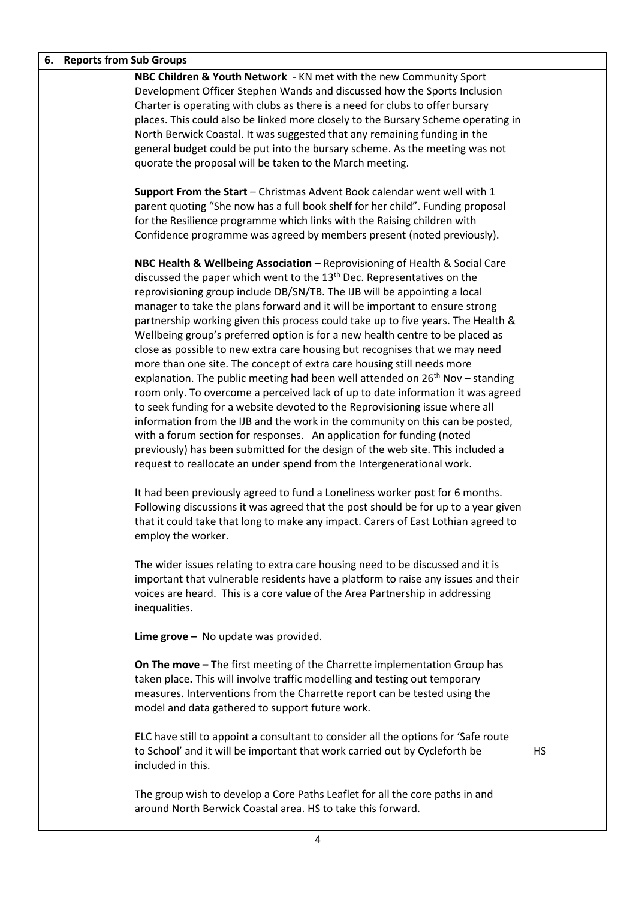| 6. Reports from Sub Groups |                                                                                                                                                           |           |
|----------------------------|-----------------------------------------------------------------------------------------------------------------------------------------------------------|-----------|
|                            | NBC Children & Youth Network - KN met with the new Community Sport                                                                                        |           |
|                            | Development Officer Stephen Wands and discussed how the Sports Inclusion                                                                                  |           |
|                            | Charter is operating with clubs as there is a need for clubs to offer bursary                                                                             |           |
|                            | places. This could also be linked more closely to the Bursary Scheme operating in                                                                         |           |
|                            | North Berwick Coastal. It was suggested that any remaining funding in the                                                                                 |           |
|                            | general budget could be put into the bursary scheme. As the meeting was not                                                                               |           |
|                            | quorate the proposal will be taken to the March meeting.                                                                                                  |           |
|                            |                                                                                                                                                           |           |
|                            | Support From the Start - Christmas Advent Book calendar went well with 1                                                                                  |           |
|                            | parent quoting "She now has a full book shelf for her child". Funding proposal                                                                            |           |
|                            | for the Resilience programme which links with the Raising children with                                                                                   |           |
|                            | Confidence programme was agreed by members present (noted previously).                                                                                    |           |
|                            |                                                                                                                                                           |           |
|                            | NBC Health & Wellbeing Association - Reprovisioning of Health & Social Care                                                                               |           |
|                            | discussed the paper which went to the 13 <sup>th</sup> Dec. Representatives on the                                                                        |           |
|                            | reprovisioning group include DB/SN/TB. The IJB will be appointing a local                                                                                 |           |
|                            | manager to take the plans forward and it will be important to ensure strong                                                                               |           |
|                            | partnership working given this process could take up to five years. The Health &                                                                          |           |
|                            | Wellbeing group's preferred option is for a new health centre to be placed as                                                                             |           |
|                            | close as possible to new extra care housing but recognises that we may need                                                                               |           |
|                            | more than one site. The concept of extra care housing still needs more<br>explanation. The public meeting had been well attended on $26th$ Nov – standing |           |
|                            | room only. To overcome a perceived lack of up to date information it was agreed                                                                           |           |
|                            | to seek funding for a website devoted to the Reprovisioning issue where all                                                                               |           |
|                            | information from the IJB and the work in the community on this can be posted,                                                                             |           |
|                            | with a forum section for responses. An application for funding (noted                                                                                     |           |
|                            | previously) has been submitted for the design of the web site. This included a                                                                            |           |
|                            | request to reallocate an under spend from the Intergenerational work.                                                                                     |           |
|                            |                                                                                                                                                           |           |
|                            | It had been previously agreed to fund a Loneliness worker post for 6 months.                                                                              |           |
|                            | Following discussions it was agreed that the post should be for up to a year given                                                                        |           |
|                            | that it could take that long to make any impact. Carers of East Lothian agreed to                                                                         |           |
|                            | employ the worker.                                                                                                                                        |           |
|                            |                                                                                                                                                           |           |
|                            | The wider issues relating to extra care housing need to be discussed and it is                                                                            |           |
|                            | important that vulnerable residents have a platform to raise any issues and their                                                                         |           |
|                            | voices are heard. This is a core value of the Area Partnership in addressing                                                                              |           |
|                            | inequalities.                                                                                                                                             |           |
|                            |                                                                                                                                                           |           |
|                            | Lime $\text{grove}$ - No update was provided.                                                                                                             |           |
|                            |                                                                                                                                                           |           |
|                            | On The move - The first meeting of the Charrette implementation Group has                                                                                 |           |
|                            | taken place. This will involve traffic modelling and testing out temporary                                                                                |           |
|                            | measures. Interventions from the Charrette report can be tested using the                                                                                 |           |
|                            | model and data gathered to support future work.                                                                                                           |           |
|                            | ELC have still to appoint a consultant to consider all the options for 'Safe route                                                                        |           |
|                            | to School' and it will be important that work carried out by Cycleforth be                                                                                | <b>HS</b> |
|                            | included in this.                                                                                                                                         |           |
|                            |                                                                                                                                                           |           |
|                            | The group wish to develop a Core Paths Leaflet for all the core paths in and                                                                              |           |
|                            | around North Berwick Coastal area. HS to take this forward.                                                                                               |           |
|                            |                                                                                                                                                           |           |